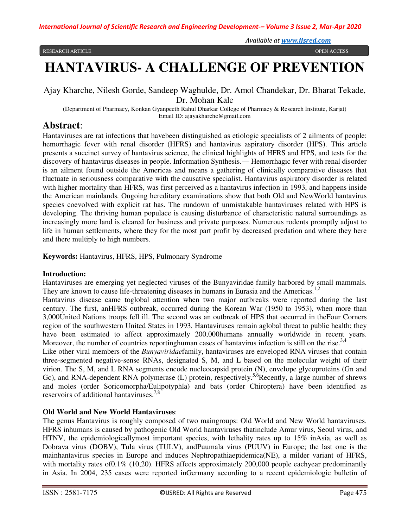# **HANTAVIRUS- A CHALLENGE OF PREVENTION**

# Ajay Kharche, Nilesh Gorde, Sandeep Waghulde, Dr. Amol Chandekar, Dr. Bharat Tekade, Dr. Mohan Kale

(Department of Pharmacy, Konkan Gyanpeeth Rahul Dharkar College of Pharmacy & Research Institute, Karjat) Email ID: ajayakharche@gmail.com

# **Abstract**:

Hantaviruses are rat infections that havebeen distinguished as etiologic specialists of 2 ailments of people: hemorrhagic fever with renal disorder (HFRS) and hantavirus aspiratory disorder (HPS). This article presents a succinct survey of hantavirus science, the clinical highlights of HFRS and HPS, and tests for the discovery of hantavirus diseases in people. Information Synthesis.— Hemorrhagic fever with renal disorder is an ailment found outside the Americas and means a gathering of clinically comparative diseases that fluctuate in seriousness comparative with the causative specialist. Hantavirus aspiratory disorder is related with higher mortality than HFRS, was first perceived as a hantavirus infection in 1993, and happens inside the American mainlands. Ongoing hereditary examinations show that both Old and NewWorld hantavirus species coevolved with explicit rat has. The rundown of unmistakable hantaviruses related with HPS is developing. The thriving human populace is causing disturbance of characteristic natural surroundings as increasingly more land is cleared for business and private purposes. Numerous rodents promptly adjust to life in human settlements, where they for the most part profit by decreased predation and where they here and there multiply to high numbers.

**Keywords:** Hantavirus, HFRS, HPS, Pulmonary Syndrome

## **Introduction:**

Hantaviruses are emerging yet neglected viruses of the Bunyaviridae family harbored by small mammals. They are known to cause life-threatening diseases in humans in Eurasia and the Americas.<sup>1,2</sup>

Hantavirus disease came toglobal attention when two major outbreaks were reported during the last century. The first, anHFRS outbreak, occurred during the Korean War (1950 to 1953), when more than 3,000United Nations troops fell ill. The second was an outbreak of HPS that occurred in theFour Corners region of the southwestern United States in 1993. Hantaviruses remain aglobal threat to public health; they have been estimated to affect approximately 200,000humans annually worldwide in recent years. Moreover, the number of countries reportinghuman cases of hantavirus infection is still on the rise.<sup>3,4</sup>

Like other viral members of the *Bunyaviridae*family, hantaviruses are enveloped RNA viruses that contain three-segmented negative-sense RNAs, designated S, M, and L based on the molecular weight of their virion. The S, M, and L RNA segments encode nucleocapsid protein (N), envelope glycoproteins (Gn and Gc), and RNA-dependent RNA polymerase (L) protein, respectively.<sup>5,6</sup>Recently, a large number of shrews and moles (order Soricomorpha/Eulipotyphla) and bats (order Chiroptera) have been identified as reservoirs of additional hantaviruses.<sup>7,8</sup>

## **Old World and New World Hantaviruses**:

The genus Hantavirus is roughly composed of two maingroups: Old World and New World hantaviruses. HFRS inhumans is caused by pathogenic Old World hantaviruses thatinclude Amur virus, Seoul virus, and HTNV, the epidemiologicallymost important species, with lethality rates up to 15% inAsia, as well as Dobrava virus (DOBV), Tula virus (TULV), andPuumala virus (PUUV) in Europe; the last one is the mainhantavirus species in Europe and induces Nephropathiaepidemica(NE), a milder variant of HFRS, with mortality rates of 0.1% (10,20). HFRS affects approximately 200,000 people eachyear predominantly in Asia. In 2004, 235 cases were reported inGermany according to a recent epidemiologic bulletin of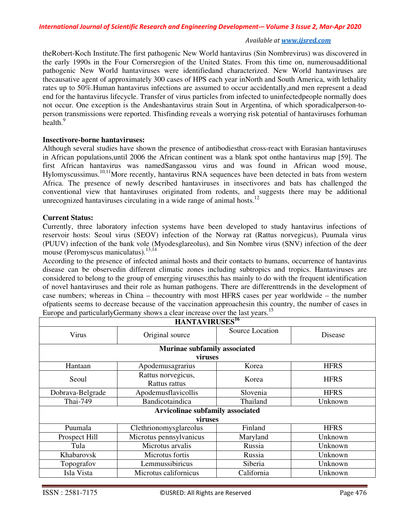theRobert-Koch Institute.The first pathogenic New World hantavirus (Sin Nombrevirus) was discovered in the early 1990s in the Four Cornersregion of the United States. From this time on, numerousadditional pathogenic New World hantaviruses were identifiedand characterized. New World hantaviruses are thecausative agent of approximately 300 cases of HPS each year inNorth and South America, with lethality rates up to 50%.Human hantavirus infections are assumed to occur accidentally,and men represent a dead end for the hantavirus lifecycle. Transfer of virus particles from infected to uninfectedpeople normally does not occur. One exception is the Andeshantavirus strain Sout in Argentina, of which sporadicalperson-toperson transmissions were reported. Thisfinding reveals a worrying risk potential of hantaviruses forhuman health.<sup>9</sup>

#### **Insectivore-borne hantaviruses:**

Although several studies have shown the presence of antibodiesthat cross-react with Eurasian hantaviruses in African populations,until 2006 the African continent was a blank spot onthe hantavirus map [59]. The first African hantavirus was namedSangassou virus and was found in African wood mouse, Hylomyscussimus.<sup>10,11</sup>More recently, hantavirus RNA sequences have been detected in bats from western Africa. The presence of newly described hantaviruses in insectivores and bats has challenged the conventional view that hantaviruses originated from rodents, and suggests there may be additional unrecognized hantaviruses circulating in a wide range of animal hosts.<sup>12</sup>

#### **Current Status:**

Currently, three laboratory infection systems have been developed to study hantavirus infections of reservoir hosts: Seoul virus (SEOV) infection of the Norway rat (Rattus norvegicus), Puumala virus (PUUV) infection of the bank vole (Myodesglareolus), and Sin Nombre virus (SNV) infection of the deer mouse (Peromyscus maniculatus). $13,14$ 

According to the presence of infected animal hosts and their contacts to humans, occurrence of hantavirus disease can be observedin different climatic zones including subtropics and tropics. Hantaviruses are considered to belong to the group of emerging viruses;this has mainly to do with the frequent identification of novel hantaviruses and their role as human pathogens. There are differenttrends in the development of case numbers; whereas in China – thecountry with most HFRS cases per year worldwide – the number ofpatients seems to decrease because of the vaccination approachesin this country, the number of cases in Europe and particularlyGermany shows a clear increase over the last years.<sup>15</sup>

| HANTAVIRUSES <sup>16</sup>       |                                     |                 |                |  |  |
|----------------------------------|-------------------------------------|-----------------|----------------|--|--|
| Virus                            | Original source                     | Source Location | <b>Disease</b> |  |  |
| Murinae subfamily associated     |                                     |                 |                |  |  |
| viruses                          |                                     |                 |                |  |  |
| Hantaan                          | Apodemusagrarius                    | Korea           | <b>HFRS</b>    |  |  |
| Seoul                            | Rattus norvegicus,<br>Rattus rattus | Korea           | <b>HFRS</b>    |  |  |
| Dobrava-Belgrade                 | Apodemusflavicollis                 | Slovenia        | <b>HFRS</b>    |  |  |
| Thai-749                         | Bandicotaindica                     | Thailand        | Unknown        |  |  |
| Arvicolinae subfamily associated |                                     |                 |                |  |  |
| viruses                          |                                     |                 |                |  |  |
| Puumala                          | Clethrionomysglareolus              | Finland         | <b>HFRS</b>    |  |  |
| Prospect Hill                    | Microtus pennsylvanicus             | Maryland        | Unknown        |  |  |
| Tula                             | Microtus arvalis                    | Russia          | Unknown        |  |  |
| Khabarovsk                       | Microtus fortis                     | Russia          | Unknown        |  |  |
| Topografov                       | Lemmussibiricus                     | Siberia         | Unknown        |  |  |
| Isla Vista                       | Microtus californicus               | California      | Unknown        |  |  |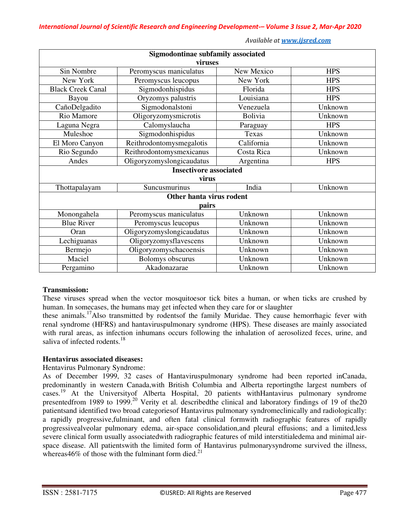| Sigmodontinae subfamily associated |                           |            |            |  |  |
|------------------------------------|---------------------------|------------|------------|--|--|
| viruses                            |                           |            |            |  |  |
| Sin Nombre                         | Peromyscus maniculatus    | New Mexico | <b>HPS</b> |  |  |
| New York                           | Peromyscus leucopus       | New York   | <b>HPS</b> |  |  |
| <b>Black Creek Canal</b>           | Sigmodonhispidus          | Florida    | <b>HPS</b> |  |  |
| Bayou                              | Oryzomys palustris        | Louisiana  | <b>HPS</b> |  |  |
| CañoDelgadito                      | Sigmodonalstoni           | Venezuela  | Unknown    |  |  |
| Rio Mamore                         | Oligoryzomysmicrotis      | Bolivia    | Unknown    |  |  |
| Laguna Negra                       | Calomyslaucha             | Paraguay   | <b>HPS</b> |  |  |
| Muleshoe                           | Sigmodonhispidus          | Texas      | Unknown    |  |  |
| El Moro Canyon                     | Reithrodontomysmegalotis  | California | Unknown    |  |  |
| Rio Segundo                        | Reithrodontomysmexicanus  | Costa Rica | Unknown    |  |  |
| Andes                              | Oligoryzomyslongicaudatus | Argentina  | <b>HPS</b> |  |  |
| <b>Insectivore associated</b>      |                           |            |            |  |  |
| virus                              |                           |            |            |  |  |
| Thottapalayam                      | Suncusmurinus             | India      | Unknown    |  |  |
| Other hanta virus rodent           |                           |            |            |  |  |
| pairs                              |                           |            |            |  |  |
| Monongahela                        | Peromyscus maniculatus    | Unknown    | Unknown    |  |  |
| <b>Blue River</b>                  | Peromyscus leucopus       | Unknown    | Unknown    |  |  |
| Oran                               | Oligoryzomyslongicaudatus | Unknown    | Unknown    |  |  |
| Lechiguanas                        | Oligoryzomysflavescens    | Unknown    | Unknown    |  |  |
| Bermejo                            | Oligoryzomyschacoensis    | Unknown    | Unknown    |  |  |
| Maciel                             | Bolomys obscurus          | Unknown    | Unknown    |  |  |
| Pergamino                          | Akadonazarae              | Unknown    | Unknown    |  |  |

# **Transmission:**

These viruses spread when the vector mosquitoesor tick bites a human, or when ticks are crushed by human. In somecases, the humans may get infected when they care for or slaughter

these animals.<sup>17</sup>Also transmitted by rodentsof the family Muridae. They cause hemorrhagic fever with renal syndrome (HFRS) and hantaviruspulmonary syndrome (HPS). These diseases are mainly associated with rural areas, as infection inhumans occurs following the inhalation of aerosolized feces, urine, and saliva of infected rodents.<sup>18</sup>

## **Hentavirus associated diseases:**

Hentavirus Pulmonary Syndrome:

As of December 1999, 32 cases of Hantaviruspulmonary syndrome had been reported inCanada, predominantly in western Canada,with British Columbia and Alberta reportingthe largest numbers of cases.<sup>19</sup> At the Universityof Alberta Hospital, 20 patients withHantavirus pulmonary syndrome presentedfrom 1989 to 1999.<sup>20</sup> Verity et al. described the clinical and laboratory findings of 19 of the20 patientsand identified two broad categoriesof Hantavirus pulmonary syndromeclinically and radiologically: a rapidly progressive,fulminant, and often fatal clinical formwith radiographic features of rapidly progressivealveolar pulmonary edema, air-space consolidation,and pleural effusions; and a limited,less severe clinical form usually associatedwith radiographic features of mild interstitialedema and minimal airspace disease. All patientswith the limited form of Hantavirus pulmonarysyndrome survived the illness, whereas 46% of those with the fulminant form died.<sup>21</sup>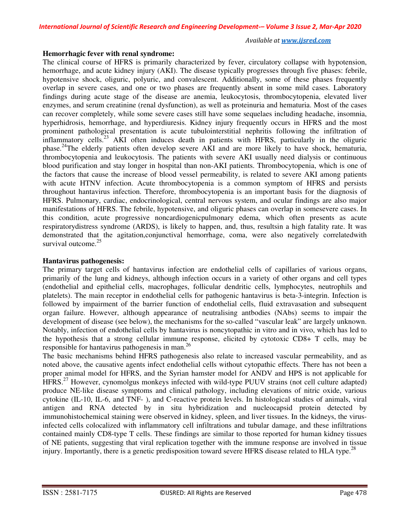#### **Hemorrhagic fever with renal syndrome:**

The clinical course of HFRS is primarily characterized by fever, circulatory collapse with hypotension, hemorrhage, and acute kidney injury (AKI). The disease typically progresses through five phases: febrile, hypotensive shock, oliguric, polyuric, and convalescent. Additionally, some of these phases frequently overlap in severe cases, and one or two phases are frequently absent in some mild cases. Laboratory findings during acute stage of the disease are anemia, leukocytosis, thrombocytopenia, elevated liver enzymes, and serum creatinine (renal dysfunction), as well as proteinuria and hematuria. Most of the cases can recover completely, while some severe cases still have some sequelaes including headache, insomnia, hyperhidrosis, hemorrhage, and hyperdiuresis. Kidney injury frequently occurs in HFRS and the most prominent pathological presentation is acute tubulointerstitial nephritis following the infiltration of inflammatory cells.<sup>23</sup> AKI often induces death in patients with HFRS, particularly in the oliguric phase.<sup>24</sup>The elderly patients often develop severe AKI and are more likely to have shock, hematuria, thrombocytopenia and leukocytosis. The patients with severe AKI usually need dialysis or continuous blood purification and stay longer in hospital than non-AKI patients. Thrombocytopenia, which is one of the factors that cause the increase of blood vessel permeability, is related to severe AKI among patients with acute HTNV infection. Acute thrombocytopenia is a common symptom of HFRS and persists throughout hantavirus infection. Therefore, thrombocytopenia is an important basis for the diagnosis of HFRS. Pulmonary, cardiac, endocrinological, central nervous system, and ocular findings are also major manifestations of HFRS. The febrile, hypotensive, and oliguric phases can overlap in somesevere cases. In this condition, acute progressive noncardiogenicpulmonary edema, which often presents as acute respiratorydistress syndrome (ARDS), is likely to happen, and, thus, resultsin a high fatality rate. It was demonstrated that the agitation,conjunctival hemorrhage, coma, were also negatively correlatedwith survival outcome.<sup>25</sup>

#### **Hantavirus pathogenesis:**

The primary target cells of hantavirus infection are endothelial cells of capillaries of various organs, primarily of the lung and kidneys, although infection occurs in a variety of other organs and cell types (endothelial and epithelial cells, macrophages, follicular dendritic cells, lymphocytes, neutrophils and platelets). The main receptor in endothelial cells for pathogenic hantavirus is beta-3-integrin. Infection is followed by impairment of the barrier function of endothelial cells, fluid extravasation and subsequent organ failure. However, although appearance of neutralising antbodies (NAbs) seems to impair the development of disease (see below), the mechanisms for the so-called "vascular leak" are largely unknown. Notably, infection of endothelial cells by hantavirus is noncytopathic in vitro and in vivo, which has led to the hypothesis that a strong cellular immune response, elicited by cytotoxic CD8+ T cells, may be responsible for hantavirus pathogenesis in man.<sup>26</sup>

The basic mechanisms behind HFRS pathogenesis also relate to increased vascular permeability, and as noted above, the causative agents infect endothelial cells without cytopathic effects. There has not been a proper animal model for HFRS, and the Syrian hamster model for ANDV and HPS is not applicable for HFRS.<sup>27</sup> However, cynomolgus monkeys infected with wild-type PUUV strains (not cell culture adapted) produce NE-like disease symptoms and clinical pathology, including elevations of nitric oxide, various cytokine (IL-10, IL-6, and TNF- ), and C-reactive protein levels. In histological studies of animals, viral antigen and RNA detected by in situ hybridization and nucleocapsid protein detected by immunohistochemical staining were observed in kidney, spleen, and liver tissues. In the kidneys, the virusinfected cells colocalized with inflammatory cell infiltrations and tubular damage, and these infiltrations contained mainly CD8-type T cells. These findings are similar to those reported for human kidney tissues of NE patients, suggesting that viral replication together with the immune response are involved in tissue injury. Importantly, there is a genetic predisposition toward severe HFRS disease related to HLA type.<sup>28</sup>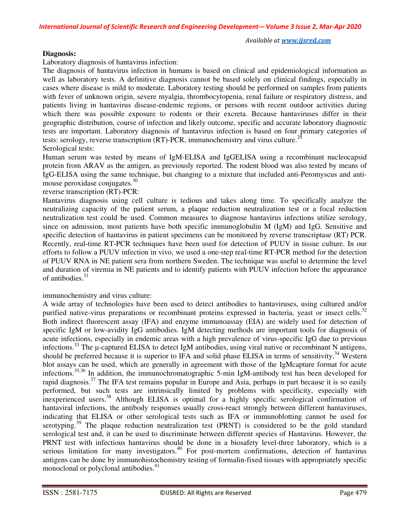#### **Diagnosis:**

Laboratory diagnosis of hantavirus infection:

The diagnosis of hantavirus infection in humans is based on clinical and epidemiological information as well as laboratory tests. A definitive diagnosis cannot be based solely on clinical findings, especially in cases where disease is mild to moderate. Laboratory testing should be performed on samples from patients with fever of unknown origin, severe myalgia, thrombocytopenia, renal failure or respiratory distress, and patients living in hantavirus disease-endemic regions, or persons with recent outdoor activities during which there was possible exposure to rodents or their excreta. Because hantaviruses differ in their geographic distribution, course of infection and likely outcome, specific and accurate laboratory diagnostic tests are important. Laboratory diagnosis of hantavirus infection is based on four primary categories of tests: serology, reverse transcription (RT)-PCR, immunochemistry and virus culture.<sup>29</sup> Serological tests:

Human serum was tested by means of IgM-ELISA and IgGELISA using a recombinant nucleocapsid protein from ARAV as the antigen, as previously reported. The rodent blood was also tested by means of IgG-ELISA using the same technique, but changing to a mixture that included anti-Peromyscus and antimouse peroxidase conjugates.<sup>30</sup>

#### reverse transcription (RT)-PCR:

Hantavirus diagnosis using cell culture is tedious and takes along time. To specifically analyze the neutralizing capacity of the patient serum, a plaque reduction neutralization test or a focal reduction neutralization test could be used. Common measures to diagnose hantavirus infections utilize serology, since on admission, most patients have both specific immunoglobulin M (IgM) and IgG. Sensitive and specific detection of hantavirus in patient specimens can be monitored by reverse transcriptase (RT) PCR. Recently, real-time RT-PCR techniques have been used for detection of PUUV in tissue culture. In our efforts to follow a PUUV infection in vivo, we used a one-step real-time RT-PCR method for the detection of PUUV RNA in NE patient sera from northern Sweden. The technique was useful to determine the level and duration of viremia in NE patients and to identify patients with PUUV infection before the appearance of antibodies.<sup>31</sup>

## immunochemistry and virus culture:

A wide array of technologies have been used to detect antibodies to hantaviruses, using cultured and/or purified native-virus preparations or recombinant proteins expressed in bacteria, yeast or insect cells.<sup>32</sup> Both indirect fluorescent assay (IFA) and enzyme immunoassay (EIA) are widely used for detection of specific IgM or low-avidity IgG antibodies. IgM detecting methods are important tools for diagnosis of acute infections, especially in endemic areas with a high prevalence of virus-specific IgG due to previous infections.<sup>33</sup> The µ-captured ELISA to detect IgM antibodies, using viral native or recombinant N antigens, should be preferred because it is superior to IFA and solid phase ELISA in terms of sensitivity.<sup>34</sup> Western blot assays can be used, which are generally in agreement with those of the IgMcapture format for acute infections.35,36 In addition, the immunochromatographic 5-min IgM-antibody test has been developed for rapid diagnosis.<sup>37</sup> The IFA test remains popular in Europe and Asia, perhaps in part because it is so easily performed, but such tests are intrinsically limited by problems with specificity, especially with inexperienced users.<sup>38</sup> Although ELISA is optimal for a highly specific serological confirmation of hantaviral infections, the antibody responses usually cross-react strongly between different hantaviruses, indicating that ELISA or other serological tests such as IFA or immunoblotting cannot be used for serotyping.<sup>39</sup> The plaque reduction neutralization test (PRNT) is considered to be the gold standard serological test and, it can be used to discriminate between different species of Hantavirus. However, the PRNT test with infectious hantavirus should be done in a biosafety level-three laboratory, which is a serious limitation for many investigators.<sup>40</sup> For post-mortem confirmations, detection of hantavirus antigens can be done by immunohistochemistry testing of formalin-fixed tissues with appropriately specific monoclonal or polyclonal antibodies.<sup>41</sup>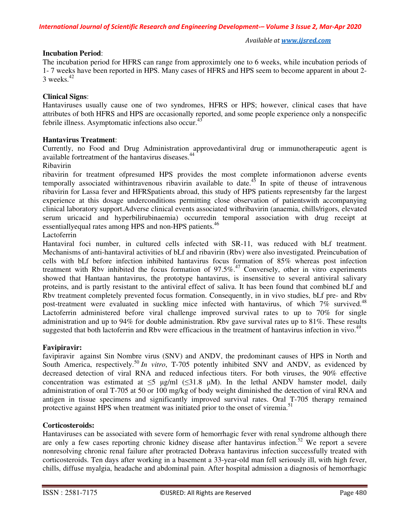## **Incubation Period**:

The incubation period for HFRS can range from approximtely one to 6 weeks, while incubation periods of 1- 7 weeks have been reported in HPS. Many cases of HFRS and HPS seem to become apparent in about 2-  $3$  weeks.<sup>42</sup>

## **Clinical Signs**:

Hantaviruses usually cause one of two syndromes, HFRS or HPS; however, clinical cases that have attributes of both HFRS and HPS are occasionally reported, and some people experience only a nonspecific febrile illness. Asymptomatic infections also occur.<sup>43</sup>

## **Hantavirus Treatment**:

Currently, no Food and Drug Administration approvedantiviral drug or immunotherapeutic agent is available fortreatment of the hantavirus diseases.<sup>44</sup>

## Ribavirin

ribavirin for treatment ofpresumed HPS provides the most complete informationon adverse events temporally associated withintravenous ribavirin available to date.<sup>45</sup> In spite of theuse of intravenous ribavirin for Lassa fever and HFRSpatients abroad, this study of HPS patients representsby far the largest experience at this dosage underconditions permitting close observation of patientswith accompanying clinical laboratory support.Adverse clinical events associated withribavirin (anaemia, chills/rigors, elevated serum uricacid and hyperbilirubinaemia) occurredin temporal association with drug receipt at essentially equal rates among HPS and non-HPS patients.<sup>46</sup>

Lactoferrin

Hantaviral foci number, in cultured cells infected with SR-11, was reduced with bLf treatment. Mechanisms of anti-hantaviral activities of bLf and ribavirin (Rbv) were also investigated. Preincubation of cells with bLf before infection inhibited hantavirus focus formation of 85% whereas post infection treatment with Rbv inhibited the focus formation of  $97.5\%$ .<sup>47</sup> Conversely, other in vitro experiments showed that Hantaan hantavirus, the prototype hantavirus, is insensitive to several antiviral salivary proteins, and is partly resistant to the antiviral effect of saliva. It has been found that combined bLf and Rbv treatment completely prevented focus formation. Consequently, in in vivo studies, bLf pre- and Rbv post-treatment were evaluated in suckling mice infected with hantavirus, of which  $7\%$  survived.<sup>48</sup> Lactoferrin administered before viral challenge improved survival rates to up to 70% for single administration and up to 94% for double administration. Rbv gave survival rates up to 81%. These results suggested that both lactoferrin and Rbv were efficacious in the treatment of hantavirus infection in vivo.<sup>49</sup>

## **Favipiravir:**

favipiravir against Sin Nombre virus (SNV) and ANDV, the predominant causes of HPS in North and South America, respectively.<sup>50</sup> *In vitro*, T-705 potently inhibited SNV and ANDV, as evidenced by decreased detection of viral RNA and reduced infectious titers. For both viruses, the 90% effective concentration was estimated at  $\leq 5 \mu g/ml$  ( $\leq 31.8 \mu M$ ). In the lethal ANDV hamster model, daily administration of oral T-705 at 50 or 100 mg/kg of body weight diminished the detection of viral RNA and antigen in tissue specimens and significantly improved survival rates. Oral T-705 therapy remained protective against HPS when treatment was initiated prior to the onset of viremia.<sup>51</sup>

## **Corticosteroids:**

Hantaviruses can be associated with severe form of hemorrhagic fever with renal syndrome although there are only a few cases reporting chronic kidney disease after hantavirus infection.<sup>52</sup> We report a severe nonresolving chronic renal failure after protracted Dobrava hantavirus infection successfully treated with corticosteroids. Ten days after working in a basement a 33-year-old man fell seriously ill, with high fever, chills, diffuse myalgia, headache and abdominal pain. After hospital admission a diagnosis of hemorrhagic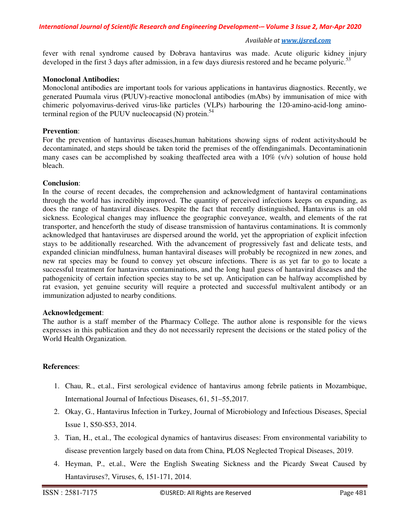fever with renal syndrome caused by Dobrava hantavirus was made. Acute oliguric kidney injury developed in the first 3 days after admission, in a few days diuresis restored and he became polyuric.<sup>53</sup>

#### **Monoclonal Antibodies:**

Monoclonal antibodies are important tools for various applications in hantavirus diagnostics. Recently, we generated Puumala virus (PUUV)-reactive monoclonal antibodies (mAbs) by immunisation of mice with chimeric polyomavirus-derived virus-like particles (VLPs) harbouring the 120-amino-acid-long aminoterminal region of the PUUV nucleocapsid  $(N)$  protein.<sup>54</sup>

#### **Prevention**:

For the prevention of hantavirus diseases,human habitations showing signs of rodent activityshould be decontaminated, and steps should be taken torid the premises of the offendinganimals. Decontaminationin many cases can be accomplished by soaking theaffected area with a  $10\%$  (v/v) solution of house hold bleach.

## **Conclusion**:

In the course of recent decades, the comprehension and acknowledgment of hantaviral contaminations through the world has incredibly improved. The quantity of perceived infections keeps on expanding, as does the range of hantaviral diseases. Despite the fact that recently distinguished, Hantavirus is an old sickness. Ecological changes may influence the geographic conveyance, wealth, and elements of the rat transporter, and henceforth the study of disease transmission of hantavirus contaminations. It is commonly acknowledged that hantaviruses are dispersed around the world, yet the appropriation of explicit infection stays to be additionally researched. With the advancement of progressively fast and delicate tests, and expanded clinician mindfulness, human hantaviral diseases will probably be recognized in new zones, and new rat species may be found to convey yet obscure infections. There is as yet far to go to locate a successful treatment for hantavirus contaminations, and the long haul guess of hantaviral diseases and the pathogenicity of certain infection species stay to be set up. Anticipation can be halfway accomplished by rat evasion, yet genuine security will require a protected and successful multivalent antibody or an immunization adjusted to nearby conditions.

## **Acknowledgement**:

The author is a staff member of the Pharmacy College. The author alone is responsible for the views expresses in this publication and they do not necessarily represent the decisions or the stated policy of the World Health Organization.

## **References**:

- 1. Chau, R., et.al., First serological evidence of hantavirus among febrile patients in Mozambique, International Journal of Infectious Diseases, 61, 51–55,2017.
- 2. Okay, G., Hantavirus Infection in Turkey, Journal of Microbiology and Infectious Diseases, Special Issue 1, S50-S53, 2014.
- 3. Tian, H., et.al., The ecological dynamics of hantavirus diseases: From environmental variability to disease prevention largely based on data from China, PLOS Neglected Tropical Diseases, 2019.
- 4. Heyman, P., et.al., Were the English Sweating Sickness and the Picardy Sweat Caused by Hantaviruses?, Viruses, 6, 151-171, 2014.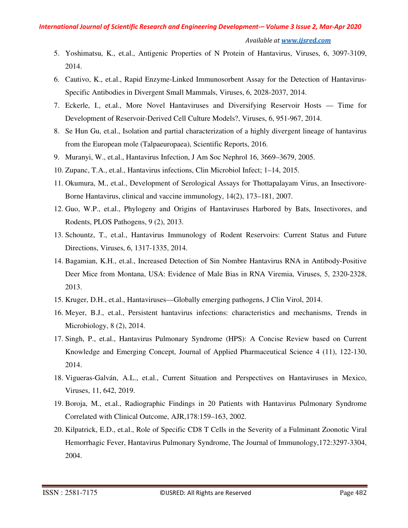#### *Available at www.ijsred.com*

- 5. Yoshimatsu, K., et.al., Antigenic Properties of N Protein of Hantavirus, Viruses, 6, 3097-3109, 2014.
- 6. Cautivo, K., et.al., Rapid Enzyme-Linked Immunosorbent Assay for the Detection of Hantavirus-Specific Antibodies in Divergent Small Mammals, Viruses, 6, 2028-2037, 2014.
- 7. Eckerle, I., et.al., More Novel Hantaviruses and Diversifying Reservoir Hosts Time for Development of Reservoir-Derived Cell Culture Models?, Viruses, 6, 951-967, 2014.
- 8. Se Hun Gu, et.al., Isolation and partial characterization of a highly divergent lineage of hantavirus from the European mole (Talpaeuropaea), Scientific Reports, 2016.
- 9. Muranyi, W., et.al., Hantavirus Infection, J Am Soc Nephrol 16, 3669–3679, 2005.
- 10. Zupanc, T.A., et.al., Hantavirus infections, Clin Microbiol Infect; 1–14, 2015.
- 11. Okumura, M., et.al., Development of Serological Assays for Thottapalayam Virus, an Insectivore-Borne Hantavirus, clinical and vaccine immunology, 14(2), 173–181, 2007.
- 12. Guo, W.P., et.al., Phylogeny and Origins of Hantaviruses Harbored by Bats, Insectivores, and Rodents, PLOS Pathogens, 9 (2), 2013.
- 13. Schountz, T., et.al., Hantavirus Immunology of Rodent Reservoirs: Current Status and Future Directions, Viruses, 6, 1317-1335, 2014.
- 14. Bagamian, K.H., et.al., Increased Detection of Sin Nombre Hantavirus RNA in Antibody-Positive Deer Mice from Montana, USA: Evidence of Male Bias in RNA Viremia, Viruses, 5, 2320-2328, 2013.
- 15. Kruger, D.H., et.al., Hantaviruses—Globally emerging pathogens, J Clin Virol, 2014.
- 16. Meyer, B.J., et.al., Persistent hantavirus infections: characteristics and mechanisms, Trends in Microbiology, 8 (2), 2014.
- 17. Singh, P., et.al., Hantavirus Pulmonary Syndrome (HPS): A Concise Review based on Current Knowledge and Emerging Concept, Journal of Applied Pharmaceutical Science 4 (11), 122-130, 2014.
- 18. Vigueras-Galván, A.L., et.al., Current Situation and Perspectives on Hantaviruses in Mexico, Viruses, 11, 642, 2019.
- 19. Boroja, M., et.al., Radiographic Findings in 20 Patients with Hantavirus Pulmonary Syndrome Correlated with Clinical Outcome, AJR,178:159–163, 2002.
- 20. Kilpatrick, E.D., et.al., Role of Specific CD8 T Cells in the Severity of a Fulminant Zoonotic Viral Hemorrhagic Fever, Hantavirus Pulmonary Syndrome, The Journal of Immunology,172:3297-3304, 2004.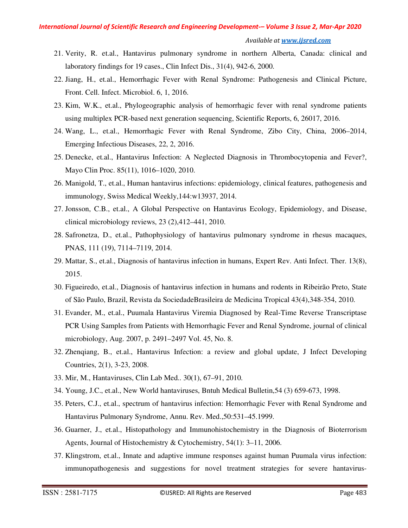#### *Available at www.ijsred.com*

- 21. Verity, R. et.al., Hantavirus pulmonary syndrome in northern Alberta, Canada: clinical and laboratory findings for 19 cases., Clin Infect Dis., 31(4), 942-6, 2000.
- 22. Jiang, H., et.al., Hemorrhagic Fever with Renal Syndrome: Pathogenesis and Clinical Picture, Front. Cell. Infect. Microbiol. 6, 1, 2016.
- 23. Kim, W.K., et.al., Phylogeographic analysis of hemorrhagic fever with renal syndrome patients using multiplex PCR-based next generation sequencing, Scientific Reports, 6, 26017, 2016.
- 24. Wang, L., et.al., Hemorrhagic Fever with Renal Syndrome, Zibo City, China, 2006–2014, Emerging Infectious Diseases, 22, 2, 2016.
- 25. Denecke, et.al., Hantavirus Infection: A Neglected Diagnosis in Thrombocytopenia and Fever?, Mayo Clin Proc. 85(11), 1016–1020, 2010.
- 26. Manigold, T., et.al., Human hantavirus infections: epidemiology, clinical features, pathogenesis and immunology, Swiss Medical Weekly,144:w13937, 2014.
- 27. Jonsson, C.B., et.al., A Global Perspective on Hantavirus Ecology, Epidemiology, and Disease, clinical microbiology reviews, 23 (2),412–441, 2010.
- 28. Safronetza, D., et.al., Pathophysiology of hantavirus pulmonary syndrome in rhesus macaques, PNAS, 111 (19), 7114–7119, 2014.
- 29. Mattar, S., et.al., Diagnosis of hantavirus infection in humans, Expert Rev. Anti Infect. Ther. 13(8), 2015.
- 30. Figueiredo, et.al., Diagnosis of hantavirus infection in humans and rodents in Ribeirão Preto, State of São Paulo, Brazil, Revista da SociedadeBrasileira de Medicina Tropical 43(4),348-354, 2010.
- 31. Evander, M., et.al., Puumala Hantavirus Viremia Diagnosed by Real-Time Reverse Transcriptase PCR Using Samples from Patients with Hemorrhagic Fever and Renal Syndrome, journal of clinical microbiology, Aug. 2007, p. 2491–2497 Vol. 45, No. 8.
- 32. Zhenqiang, B., et.al., Hantavirus Infection: a review and global update, J Infect Developing Countries, 2(1), 3-23, 2008.
- 33. Mir, M., Hantaviruses, Clin Lab Med.. 30(1), 67–91, 2010.
- 34. Young, J.C., et.al., New World hantaviruses, Bntuh Medical Bulletin,54 (3) 659-673, 1998.
- 35. Peters, C.J., et.al., spectrum of hantavirus infection: Hemorrhagic Fever with Renal Syndrome and Hantavirus Pulmonary Syndrome, Annu. Rev. Med.,50:531–45.1999.
- 36. Guarner, J., et.al., Histopathology and Immunohistochemistry in the Diagnosis of Bioterrorism Agents, Journal of Histochemistry & Cytochemistry, 54(1): 3–11, 2006.
- 37. Klingstrom, et.al., Innate and adaptive immune responses against human Puumala virus infection: immunopathogenesis and suggestions for novel treatment strategies for severe hantavirus-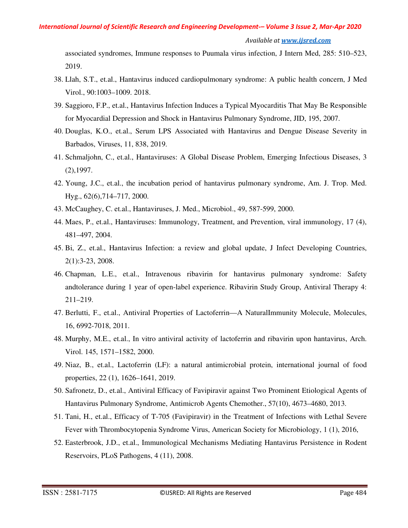#### *Available at www.ijsred.com*

associated syndromes, Immune responses to Puumala virus infection, J Intern Med, 285: 510–523, 2019.

- 38. Llah, S.T., et.al., Hantavirus induced cardiopulmonary syndrome: A public health concern, J Med Virol., 90:1003–1009. 2018.
- 39. Saggioro, F.P., et.al., Hantavirus Infection Induces a Typical Myocarditis That May Be Responsible for Myocardial Depression and Shock in Hantavirus Pulmonary Syndrome, JID, 195, 2007.
- 40. Douglas, K.O., et.al., Serum LPS Associated with Hantavirus and Dengue Disease Severity in Barbados, Viruses, 11, 838, 2019.
- 41. Schmaljohn, C., et.al., Hantaviruses: A Global Disease Problem, Emerging Infectious Diseases, 3 (2),1997.
- 42. Young, J.C., et.al., the incubation period of hantavirus pulmonary syndrome, Am. J. Trop. Med. Hyg., 62(6),714–717, 2000.
- 43. McCaughey, C. et.al., Hantaviruses, J. Med., Microbiol., 49, 587-599, 2000.
- 44. Maes, P., et.al., Hantaviruses: Immunology, Treatment, and Prevention, viral immunology, 17 (4), 481–497, 2004.
- 45. Bi, Z., et.al., Hantavirus Infection: a review and global update, J Infect Developing Countries, 2(1):3-23, 2008.
- 46. Chapman, L.E., et.al., Intravenous ribavirin for hantavirus pulmonary syndrome: Safety andtolerance during 1 year of open-label experience. Ribavirin Study Group, Antiviral Therapy 4: 211–219.
- 47. Berlutti, F., et.al., Antiviral Properties of Lactoferrin—A NaturalImmunity Molecule, Molecules, 16, 6992-7018, 2011.
- 48. Murphy, M.E., et.al., In vitro antiviral activity of lactoferrin and ribavirin upon hantavirus, Arch. Virol. 145, 1571–1582, 2000.
- 49. Niaz, B., et.al., Lactoferrin (LF): a natural antimicrobial protein, international journal of food properties, 22 (1), 1626–1641, 2019.
- 50. Safronetz, D., et.al., Antiviral Efficacy of Favipiravir against Two Prominent Etiological Agents of Hantavirus Pulmonary Syndrome, Antimicrob Agents Chemother., 57(10), 4673–4680, 2013.
- 51. Tani, H., et.al., Efficacy of T-705 (Favipiravir) in the Treatment of Infections with Lethal Severe Fever with Thrombocytopenia Syndrome Virus, American Society for Microbiology, 1 (1), 2016,
- 52. Easterbrook, J.D., et.al., Immunological Mechanisms Mediating Hantavirus Persistence in Rodent Reservoirs, PLoS Pathogens, 4 (11), 2008.